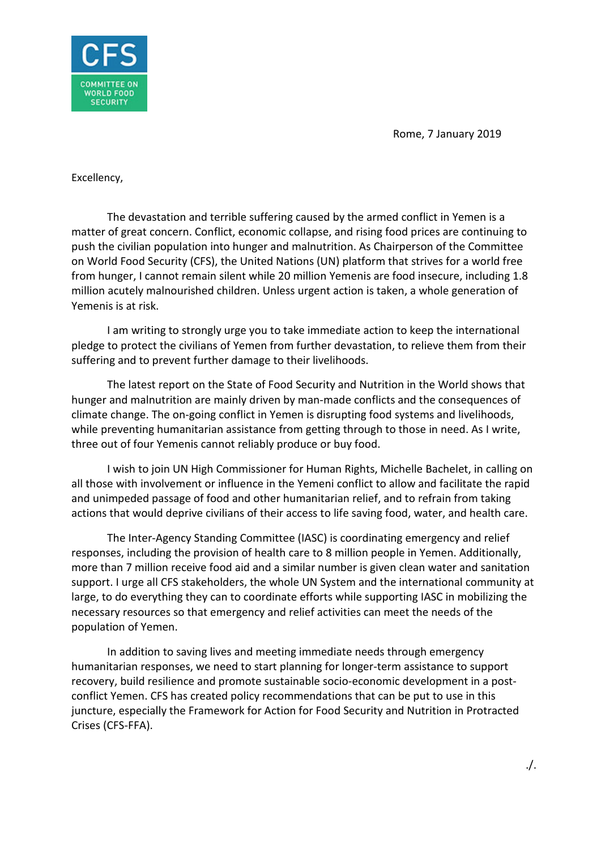Rome, 7 January 2019



Excellency,

The devastation and terrible suffering caused by the armed conflict in Yemen is a matter of great concern. Conflict, economic collapse, and rising food prices are continuing to push the civilian population into hunger and malnutrition. As Chairperson of the Committee on World Food Security (CFS), the United Nations (UN) platform that strives for a world free from hunger, I cannot remain silent while 20 million Yemenis are food insecure, including 1.8 million acutely malnourished children. Unless urgent action is taken, a whole generation of Yemenis is at risk.

I am writing to strongly urge you to take immediate action to keep the international pledge to protect the civilians of Yemen from further devastation, to relieve them from their suffering and to prevent further damage to their livelihoods.

The latest report on the State of Food Security and Nutrition in the World shows that hunger and malnutrition are mainly driven by man-made conflicts and the consequences of climate change. The on-going conflict in Yemen is disrupting food systems and livelihoods, while preventing humanitarian assistance from getting through to those in need. As I write, three out of four Yemenis cannot reliably produce or buy food.

I wish to join UN High Commissioner for Human Rights, Michelle Bachelet, in calling on all those with involvement or influence in the Yemeni conflict to allow and facilitate the rapid and unimpeded passage of food and other humanitarian relief, and to refrain from taking actions that would deprive civilians of their access to life saving food, water, and health care.

The Inter-Agency Standing Committee (IASC) is coordinating emergency and relief responses, including the provision of health care to 8 million people in Yemen. Additionally, more than 7 million receive food aid and a similar number is given clean water and sanitation support. I urge all CFS stakeholders, the whole UN System and the international community at large, to do everything they can to coordinate efforts while supporting IASC in mobilizing the necessary resources so that emergency and relief activities can meet the needs of the population of Yemen.

In addition to saving lives and meeting immediate needs through emergency humanitarian responses, we need to start planning for longer-term assistance to support recovery, build resilience and promote sustainable socio-economic development in a postconflict Yemen. CFS has created policy recommendations that can be put to use in this juncture, especially the Framework for Action for Food Security and Nutrition in Protracted Crises (CFS-FFA).